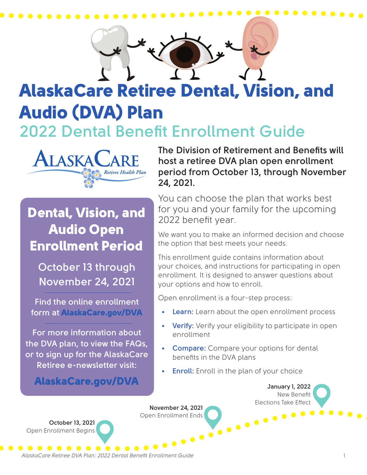

# **2022 Dental Benefit Enrollment Guide** AlaskaCare Retiree Dental, Vision, and Audio (DVA) Plan

**November 24, 2021**

Open Enrollment Ends



# Dental, Vision, and Audio Open Enrollment Period

**October 13 through November 24, 2021**

**Find the online enrollment form at** AlaskaCare.gov/DVA

**For more information about the DVA plan, to view the FAQs, or to sign up for the AlaskaCare Retiree e-newsletter visit:**

AlaskaCare.gov/DVA

**The Division of Retirement and Benefits will host a retiree DVA plan open enrollment period from October 13, through November 24, 2021.** 

. . . . . . . . . . . . . .

You can choose the plan that works best for you and your family for the upcoming 2022 benefit year.

We want you to make an informed decision and choose the option that best meets your needs.

This enrollment guide contains information about your choices, and instructions for participating in open enrollment. It is designed to answer questions about your options and how to enroll.

Open enrollment is a four-step process:

- **• Learn:** Learn about the open enrollment process
- **• Verify:** Verify your eligibility to participate in open enrollment
- **• Compare:** Compare your options for dental benefits in the DVA plans
- **• Enroll:** Enroll in the plan of your choice

**January 1, 2022** New Benefit Elections Take Effect

**October 13, 2021** Open Enrollment Begins

*AlaskaCare Retiree DVA Plan: 2022 Dental Benefit Enrollment Guide* 1

. . . . . . . . . . .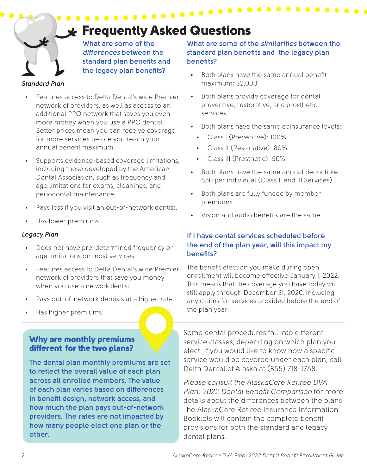# Frequently Asked Questions

. . . . . . . . . . . . . . . .

**What are some of the**  *differences* **between the standard plan benefits and the legacy plan benefits?**

#### *Standard Plan*

- Features access to Delta Dental's wide Premier network of providers, as well as access to an additional PPO network that saves you even more money when you use a PPO dentist. Better prices mean you can receive coverage for more services before you reach your annual benefit maximum.
- Supports evidence-based coverage limitations, including those developed by the American Dental Association, such as frequency and age limitations for exams, cleanings, and periodontal maintenance.
- Pays less if you visit an out-of-network dentist.
- Has lower premiums.

#### *Legacy Plan*

- Does not have pre-determined frequency or age limitations on most services.
- Features access to Delta Dental's wide Premier network of providers that save you money when you use a network dentist.
- Pays out-of-network dentists at a higher rate.
- Has higher premiums.

#### Why are monthly premiums different for the two plans?

**The dental plan monthly premiums are set to reflect the overall value of each plan across all enrolled members. The value of each plan varies based on differences in benefit design, network access, and how much the plan pays out-of-network providers. The rates are not impacted by how many people elect one plan or the other.**

#### **What are some of the** *similarities* **between the standard plan benefits and the legacy plan benefits?**

- Both plans have the same annual benefit maximum: \$2,000.
- Both plans provide coverage for dental preventive, restorative, and prosthetic services.
- Both plans have the same coinsurance levels:
	- Class I (Preventive): 100%
	- Class II (Restorative): 80%
	- Class III (Prosthetic): 50%
- Both plans have the same annual deductible: \$50 per individual (Class II and III Services).
- Both plans are fully funded by member premiums.
- Vision and audio benefits are the same.

#### **If I have dental services scheduled before the end of the plan year, will this impact my benefits?**

The benefit election you make during open enrollment will become effective January 1, 2022. This means that the coverage you have today will still apply through December 31, 2020, including any claims for services provided before the end of the plan year.

Some dental procedures fall into different service classes, depending on which plan you elect. If you would like to know how a specific service would be covered under each plan, call Delta Dental of Alaska at (855) 718-1768.

*Please consult the AlaskaCare Retiree DVA Plan: 2022 Dental Benefit Comparison* for more details about the differences between the plans. The AlaskaCare Retiree Insurance Information Booklets will contain the complete benefit provisions for both the standard and legacy dental plans.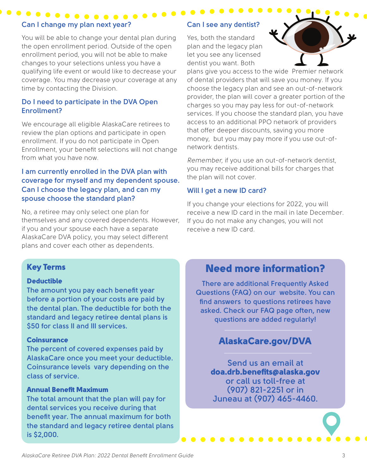# **Can I change my plan next year?**

 $\bullet$  . . .

You will be able to change your dental plan during the open enrollment period. Outside of the open enrollment period, you will not be able to make changes to your selections unless you have a qualifying life event or would like to decrease your coverage. You may decrease your coverage at any time by contacting the Division.

#### **Do I need to participate in the DVA Open Enrollment?**

We encourage all eligible AlaskaCare retirees to review the plan options and participate in open enrollment. If you do not participate in Open Enrollment, your benefit selections will not change from what you have now.

#### **I am currently enrolled in the DVA plan with coverage for myself and my dependent spouse. Can I choose the legacy plan, and can my spouse choose the standard plan?**

No, a retiree may only select one plan for themselves and any covered dependents. However, if you and your spouse each have a separate AlaskaCare DVA policy, you may select different plans and cover each other as dependents.

#### **Can I see any dentist?**

Yes, both the standard plan and the legacy plan let you see any licensed dentist you want. Both



plans give you access to the wide Premier network of dental providers that will save you money. If you choose the legacy plan and see an out-of-network provider, the plan will cover a greater portion of the charges so you may pay less for out-of-network services. If you choose the standard plan, you have access to an additional PPO network of providers that offer deeper discounts, saving you more money, but you may pay more if you use out-ofnetwork dentists.

*Remember,* if you use an out-of-network dentist, you may receive additional bills for charges that the plan will not cover.

#### **Will I get a new ID card?**

If you change your elections for 2022, you will receive a new ID card in the mail in late December. If you do not make any changes, you will not receive a new ID card.

#### Key Terms

#### **Deductible**

**The amount you pay each benefit year before a portion of your costs are paid by the dental plan. The deductible for both the standard and legacy retiree dental plans is \$50 for class II and III services.**

#### **Coinsurance**

**The percent of covered expenses paid by AlaskaCare once you meet your deductible. Coinsurance levels vary depending on the class of service.**

#### Annual Benefit Maximum

**The total amount that the plan will pay for dental services you receive during that benefit year. The annual maximum for both the standard and legacy retiree dental plans is \$2,000.**

# Need more information?

**There are additional Frequently Asked Questions (FAQ) on our website. You can find answers to questions retirees have asked. Check our FAQ page often, new questions are added regularly!** 

## AlaskaCare.gov/DVA

**Send us an email at**  doa.drb.benefits@alaska.gov **or call us toll-free at (907) 821-2251 or in Juneau at (907) 465-4460.**